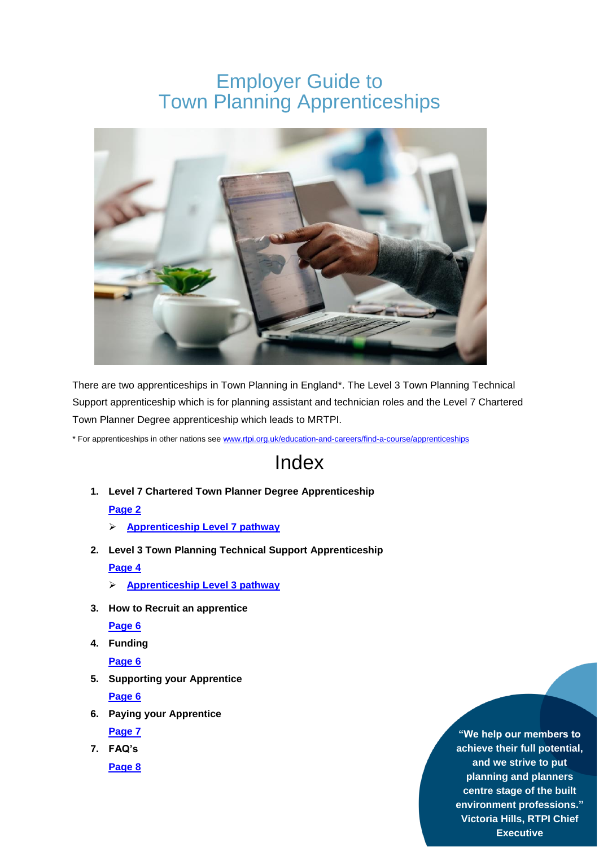# Employer Guide to Town Planning Apprenticeships



There are two apprenticeships in Town Planning in England\*. The Level 3 Town Planning Technical Support apprenticeship which is for planning assistant and technician roles and the Level 7 Chartered Town Planner Degree apprenticeship which leads to MRTPI.

\* For apprenticeships in other nations see [www.rtpi.org.uk/education-and-careers/find-a-course/apprenticeships](https://www.rtpi.org.uk/education-and-careers/find-a-course/apprenticeships)

# Index

**1. Level 7 Chartered Town Planner Degree Apprenticeship**

# **[Page](#page-1-0) 2**

- **[Apprenticeship Level 7 pathway](#page-2-0)**
- **2. Level 3 Town Planning Technical Support Apprenticeship [Page 4](#page-3-0)**
	- **[Apprenticeship Level 3 pathway](#page-3-1)**
- **3. How to Recruit an apprentice**

**[Page](#page-4-0) 6**

**4. Funding**

**[Page](#page-4-1) 6**

**5. Supporting your Apprentice**

**[Page](#page-4-2) 6**

**6. Paying your Apprentice**

**[Page](#page-5-0) 7**

**7. FAQ's [Page 8](#page-6-0)**

**"We help our members to achieve their full potential, and we strive to put planning and planners centre stage of the built environment professions." Victoria Hills, RTPI Chief Executive**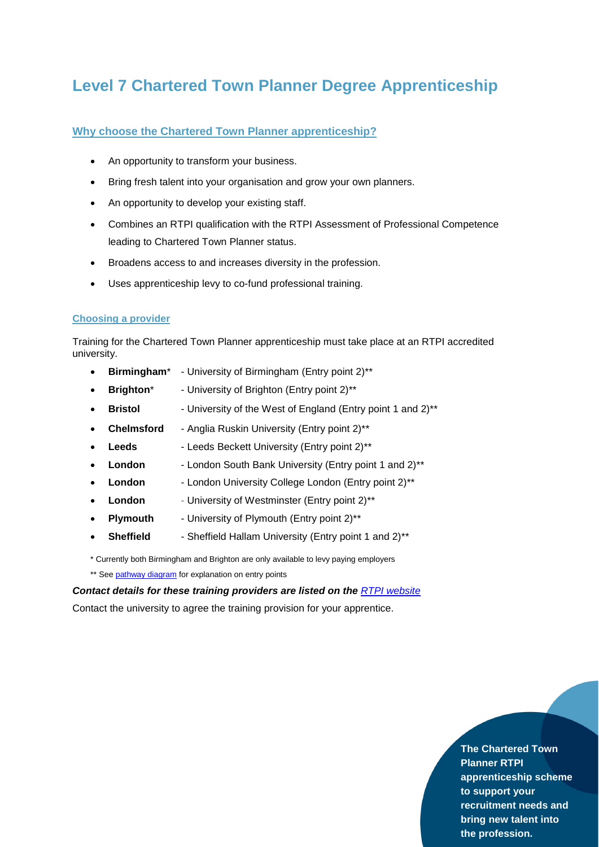# <span id="page-1-0"></span>**Level 7 Chartered Town Planner Degree Apprenticeship**

# **Why choose the Chartered Town Planner apprenticeship?**

- An opportunity to transform your business.
- Bring fresh talent into your organisation and grow your own planners.
- An opportunity to develop your existing staff.
- Combines an RTPI qualification with the RTPI Assessment of Professional Competence leading to Chartered Town Planner status.
- Broadens access to and increases diversity in the profession.
- Uses apprenticeship levy to co-fund professional training.

## **Choosing a provider**

Training for the Chartered Town Planner apprenticeship must take place at an RTPI accredited university.

- **Birmingham**\* [University of Birmingham](https://www.birmingham.ac.uk/partners/degree-apprenticeships/Degree-Apprenticeships.aspx) (Entry point 2)\*\*
- **Brighton**\* University of Brighton (Entry point 2)<sup>\*\*</sup>
- **Bristol** University of the West of England (Entry point 1 and 2)<sup>\*\*</sup>
- **Chelmsford**  Anglia Ruskin University (Entry point 2)\*\*
- **Leeds** Leeds Beckett University (Entry point 2)\*\*
- **London** London South Bank University (Entry point 1 and 2)\*\*
- **London** London University College London (Entry point 2)\*\*
- London University of Westminster (Entry point 2)<sup>\*\*</sup>
- **Plymouth** University of Plymouth (Entry point 2)<sup>\*\*</sup>
- **Sheffield** Sheffield Hallam University (Entry point 1 and 2)<sup>\*\*</sup>

\* Currently both Birmingham and Brighton are only available to levy paying employers

\*\* See [pathway diagram](#page-2-0) for explanation on entry points

*Contact details for these training providers are listed on the [RTPI website](https://www.rtpi.org.uk/education-and-careers/find-a-course/apprenticeships/chartered-town-planner-degree-apprenticeship/)* Contact the university to agree the training provision for your apprentice.

> **The Chartered Town Planner RTPI apprenticeship scheme to support your recruitment needs and bring new talent into the profession.**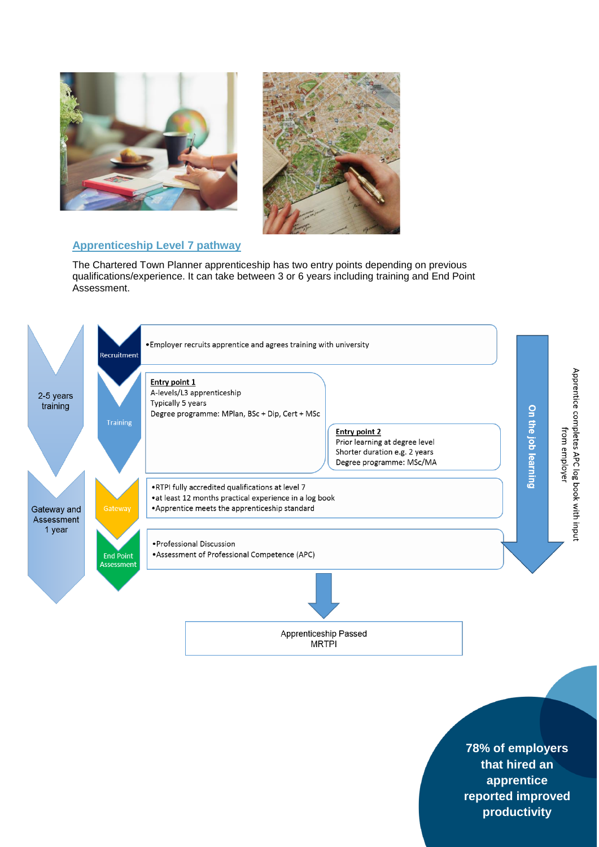



# <span id="page-2-0"></span>**Apprenticeship Level 7 pathway**

The Chartered Town Planner apprenticeship has two entry points depending on previous qualifications/experience. It can take between 3 or 6 years including training and End Point Assessment.



**78% of employers that hired an apprentice reported improved productivity**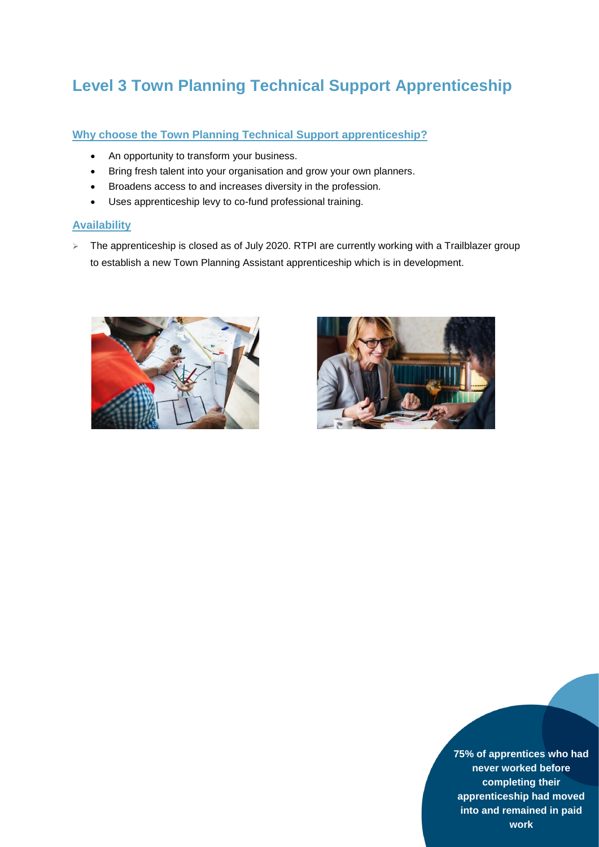# <span id="page-3-0"></span>**Level 3 Town Planning Technical Support Apprenticeship**

# **Why choose the Town Planning Technical Support apprenticeship?**

- An opportunity to transform your business.
- Bring fresh talent into your organisation and grow your own planners.
- Broadens access to and increases diversity in the profession.
- Uses apprenticeship levy to co-fund professional training.

# **Availability**

> The apprenticeship is closed as of July 2020. RTPI are currently working with a Trailblazer group to establish a new Town Planning Assistant apprenticeship which is in development.



<span id="page-3-1"></span>

**75% of apprentices who had never worked before completing their apprenticeship had moved into and remained in paid work**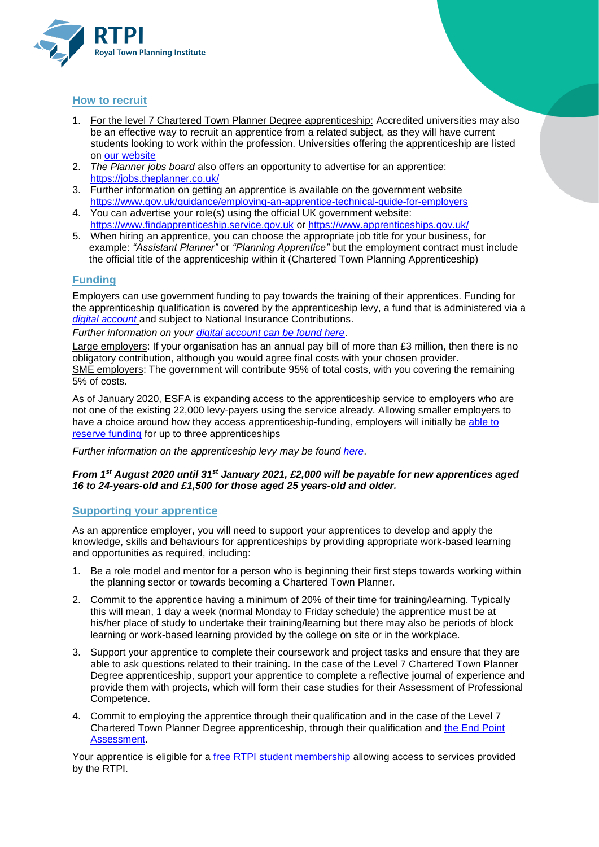

# <span id="page-4-0"></span>**How to recruit**

- 1. For the level 7 Chartered Town Planner Degree apprenticeship: Accredited universities may also be an effective way to recruit an apprentice from a related subject, as they will have current students looking to work within the profession. Universities offering the apprenticeship are listed on [our website](https://www.rtpi.org.uk/education-and-careers/find-a-course/apprenticeships/chartered-town-planner-degree-apprenticeship/)
- 2. *The Planner jobs board* also offers an opportunity to advertise for an apprentice: <https://jobs.theplanner.co.uk/>
- 3. Further information on getting an apprentice is available on the government website <https://www.gov.uk/guidance/employing-an-apprentice-technical-guide-for-employers>
- 4. You can advertise your role(s) using the official UK government website: [https://www.findapprenticeship.service.gov.uk](https://www.findapprenticeship.service.gov.uk/) or <https://www.apprenticeships.gov.uk/>
- 5. When hiring an apprentice, you can choose the appropriate job title for your business, for example: *"Assistant Planner"* or *"Planning Apprentice"* but the employment contract must include the official title of the apprenticeship within it (Chartered Town Planning Apprenticeship)

# <span id="page-4-1"></span>**Funding**

Employers can use government funding to pay towards the training of their apprentices. Funding for the apprenticeship qualification is covered by the apprenticeship levy, a fund that is administered via a *[digital account](https://accounts.manage-apprenticeships.service.gov.uk/service/index)* and subject to National Insurance Contributions.

*Further information on your [digital account can be found here](https://www.gov.uk/guidance/manage-apprenticeship-funds#before-setting-up-your-apprenticeship-service-account)*.

Large employers: If your organisation has an annual pay bill of more than £3 million, then there is no obligatory contribution, although you would agree final costs with your chosen provider. SME employers: The government will contribute 95% of total costs, with you covering the remaining 5% of costs.

As of January 2020, ESFA is expanding access to the apprenticeship service to employers who are not one of the existing 22,000 levy-payers using the service already. Allowing smaller employers to have a choice around how they access apprenticeship-funding, employers will initially be [able to](https://www.apprenticeships.gov.uk/employer/how-much-is-it-going-to-cost)  [reserve funding](https://www.apprenticeships.gov.uk/employer/how-much-is-it-going-to-cost) for up to three apprenticeships

*Further information on the apprenticeship levy may be found [here](https://www.gov.uk/guidance/pay-apprenticeship-levy#when-you-need-to-pay-it)*.

## *From 1st August 2020 until 31st January 2021, £2,000 will be payable for new apprentices aged 16 to 24-years-old and £1,500 for those aged 25 years-old and older.*

# <span id="page-4-2"></span>**Supporting your apprentice**

As an apprentice employer, you will need to support your apprentices to develop and apply the knowledge, skills and behaviours for apprenticeships by providing appropriate work-based learning and opportunities as required, including:

- 1. Be a role model and mentor for a person who is beginning their first steps towards working within the planning sector or towards becoming a Chartered Town Planner.
- 2. Commit to the apprentice having a minimum of 20% of their time for training/learning. Typically this will mean, 1 day a week (normal Monday to Friday schedule) the apprentice must be at his/her place of study to undertake their training/learning but there may also be periods of block learning or work-based learning provided by the college on site or in the workplace.
- 3. Support your apprentice to complete their coursework and project tasks and ensure that they are able to ask questions related to their training. In the case of the Level 7 Chartered Town Planner Degree apprenticeship, support your apprentice to complete a reflective journal of experience and provide them with projects, which will form their case studies for their Assessment of Professional Competence.
- 4. Commit to employing the apprentice through their qualification and in the case of the Level 7 Chartered Town Planner Degree apprenticeship, through their qualification and [the End Point](https://www.rtpi.org.uk/da-epa-resources)  [Assessment.](https://www.rtpi.org.uk/da-epa-resources)

Your apprentice is eligible for a [free RTPI student membership](https://www.rtpi.org.uk/membership/membership-classes/student/) allowing access to services provided by the RTPI.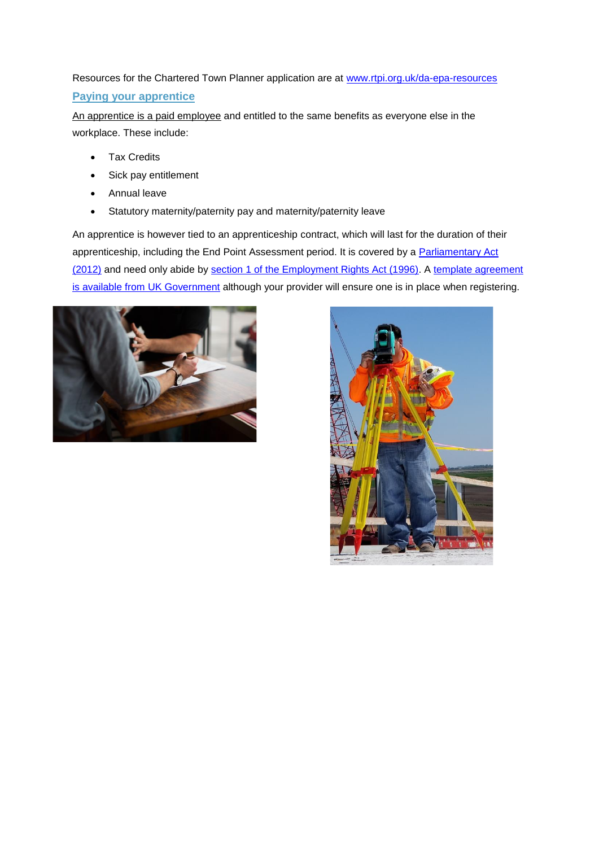<span id="page-5-0"></span>Resources for the Chartered Town Planner application are at [www.rtpi.org.uk/da-epa-resources](http://www.rtpi.org.uk/da-epa-resources) **Paying your apprentice**

An apprentice is a paid employee and entitled to the same benefits as everyone else in the workplace. These include:

- Tax Credits
- Sick pay entitlement
- Annual leave
- Statutory maternity/paternity pay and maternity/paternity leave

An apprentice is however tied to an apprenticeship contract, which will last for the duration of their apprenticeship, including the End Point Assessment period. It is covered by a Parliamentary Act [\(2012\)](http://www.legislation.gov.uk/uksi/2012/844/made) and need only abide by [section 1 of the Employment Rights Act \(1996\).](http://www.legislation.gov.uk/ukpga/1996/18/section/1) A [template agreement](https://www.gov.uk/government/publications/apprenticeship-agreement-template)  [is available from UK Government](https://www.gov.uk/government/publications/apprenticeship-agreement-template) although your provider will ensure one is in place when registering.



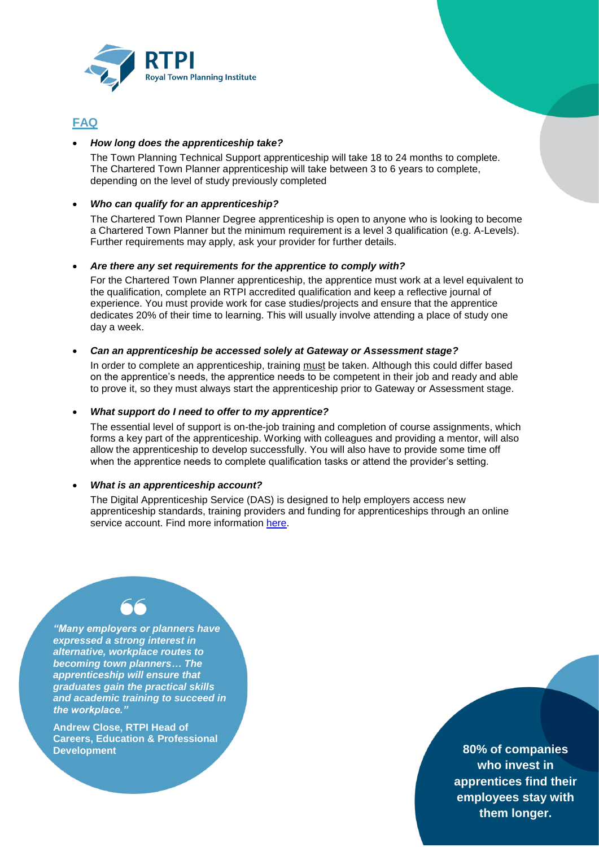

# <span id="page-6-0"></span>**FAQ**

## *How long does the apprenticeship take?*

The Town Planning Technical Support apprenticeship will take 18 to 24 months to complete. The Chartered Town Planner apprenticeship will take between 3 to 6 years to complete, depending on the level of study previously completed

## *Who can qualify for an apprenticeship?*

The Chartered Town Planner Degree apprenticeship is open to anyone who is looking to become a Chartered Town Planner but the minimum requirement is a level 3 qualification (e.g. A-Levels). Further requirements may apply, ask your provider for further details.

#### *Are there any set requirements for the apprentice to comply with?*

For the Chartered Town Planner apprenticeship, the apprentice must work at a level equivalent to the qualification, complete an RTPI accredited qualification and keep a reflective journal of experience. You must provide work for case studies/projects and ensure that the apprentice dedicates 20% of their time to learning. This will usually involve attending a place of study one day a week.

#### *Can an apprenticeship be accessed solely at Gateway or Assessment stage?*

In order to complete an apprenticeship, training must be taken. Although this could differ based on the apprentice's needs, the apprentice needs to be competent in their job and ready and able to prove it, so they must always start the apprenticeship prior to Gateway or Assessment stage.

#### *What support do I need to offer to my apprentice?*

The essential level of support is on-the-job training and completion of course assignments, which forms a key part of the apprenticeship. Working with colleagues and providing a mentor, will also allow the apprenticeship to develop successfully. You will also have to provide some time off when the apprentice needs to complete qualification tasks or attend the provider's setting.

## *What is an apprenticeship account?*

The Digital Apprenticeship Service (DAS) is designed to help employers access new apprenticeship standards, training providers and funding for apprenticeships through an online service account. Find more information [here.](http://www2.port.ac.uk/media/business-services/degree-apprenticeships/guide-apprenticeship-service-levy-payers.pdf)

*"Many employers or planners have expressed a strong interest in alternative, workplace routes to becoming town planners… The apprenticeship will ensure that graduates gain the practical skills and academic training to succeed in the workplace."*

**Andrew Close, RTPI Head of Careers, Education & Professional Development**

**80% of companies who invest in apprentices find their employees stay with them longer.**